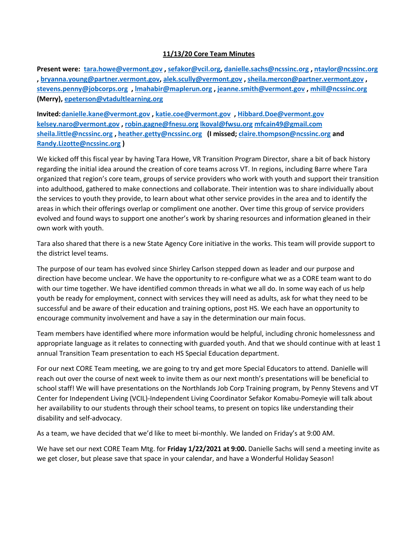## **11/13/20 Core Team Minutes**

**Present were: [tara.howe@vermont.gov](mailto:tara.howe@vermont.gov) , [sefakor@vcil.org,](mailto:sefakor@vcil.org) [danielle.sachs@ncssinc.org](mailto:danielle.sachs@ncssinc.org) [, ntaylor@ncssinc.org](mailto:ntaylor@ncssinc.org) , [bryanna.young@partner.vermont.gov,](mailto:bryanna.young@partner.vermont.gov) [alek.scully@vermont.gov](mailto:alek.scully@vermont.gov) [, sheila.mercon@partner.vermont.gov](mailto:sheila.mercon@partner.vermont.gov) , [stevens.penny@jobcorps.org](mailto:stevens.penny@jobcorps.org) [, lmahabir@maplerun.org](mailto:lmahabir@maplerun.org) [, jeanne.smith@vermont.gov](mailto:jeanne.smith@vermont.gov) [, mhill@ncssinc.org](mailto:mhill@ncssinc.org) (Merry), [epeterson@vtadultlearning.org](mailto:epeterson@vtadultlearning.org)** 

**Invited[:danielle.kane@vermont.gov](mailto:danielle.kane@vermont.gov) [, katie.coe@vermont.gov](mailto:katie.coe@vermont.gov) , [Hibbard.Doe@vermont.gov](mailto:Hibbard.Doe@vermont.gov) [kelsey.naro@vermont.gov](mailto:kelsey.naro@vermont.gov) , [robin.gagne@fnesu.org](mailto:robin.gagne@fnesu.org) [lkoval@fwsu.org](mailto:lkoval@fwsu.org) [mfcain49@gmail.com](mailto:mfcain49@gmail.com) [sheila.little@ncssinc.org](mailto:sheila.little@ncssinc.org) , [heather.getty@ncssinc.org](mailto:heather.getty@ncssinc.org) (I missed; [claire.thompson@ncssinc.org](mailto:claire.thompson@ncssinc.org) and [Randy.Lizotte@ncssinc.org](mailto:Randy.Lizotte@ncssinc.org) )**

We kicked off this fiscal year by having Tara Howe, VR Transition Program Director, share a bit of back history regarding the initial idea around the creation of core teams across VT. In regions, including Barre where Tara organized that region's core team, groups of service providers who work with youth and support their transition into adulthood, gathered to make connections and collaborate. Their intention was to share individually about the services to youth they provide, to learn about what other service provides in the area and to identify the areas in which their offerings overlap or compliment one another. Over time this group of service providers evolved and found ways to support one another's work by sharing resources and information gleaned in their own work with youth.

Tara also shared that there is a new State Agency Core initiative in the works. This team will provide support to the district level teams.

The purpose of our team has evolved since Shirley Carlson stepped down as leader and our purpose and direction have become unclear. We have the opportunity to re-configure what we as a CORE team want to do with our time together. We have identified common threads in what we all do. In some way each of us help youth be ready for employment, connect with services they will need as adults, ask for what they need to be successful and be aware of their education and training options, post HS. We each have an opportunity to encourage community involvement and have a say in the determination our main focus.

Team members have identified where more information would be helpful, including chronic homelessness and appropriate language as it relates to connecting with guarded youth. And that we should continue with at least 1 annual Transition Team presentation to each HS Special Education department.

For our next CORE Team meeting, we are going to try and get more Special Educators to attend. Danielle will reach out over the course of next week to invite them as our next month's presentations will be beneficial to school staff! We will have presentations on the Northlands Job Corp Training program, by Penny Stevens and VT Center for Independent Living (VCIL)-Independent Living Coordinator Sefakor Komabu-Pomeyie will talk about her availability to our students through their school teams, to present on topics like understanding their disability and self-advocacy.

As a team, we have decided that we'd like to meet bi-monthly. We landed on Friday's at 9:00 AM.

We have set our next CORE Team Mtg. for **Friday 1/22/2021 at 9:00.** Danielle Sachs will send a meeting invite as we get closer, but please save that space in your calendar, and have a Wonderful Holiday Season!